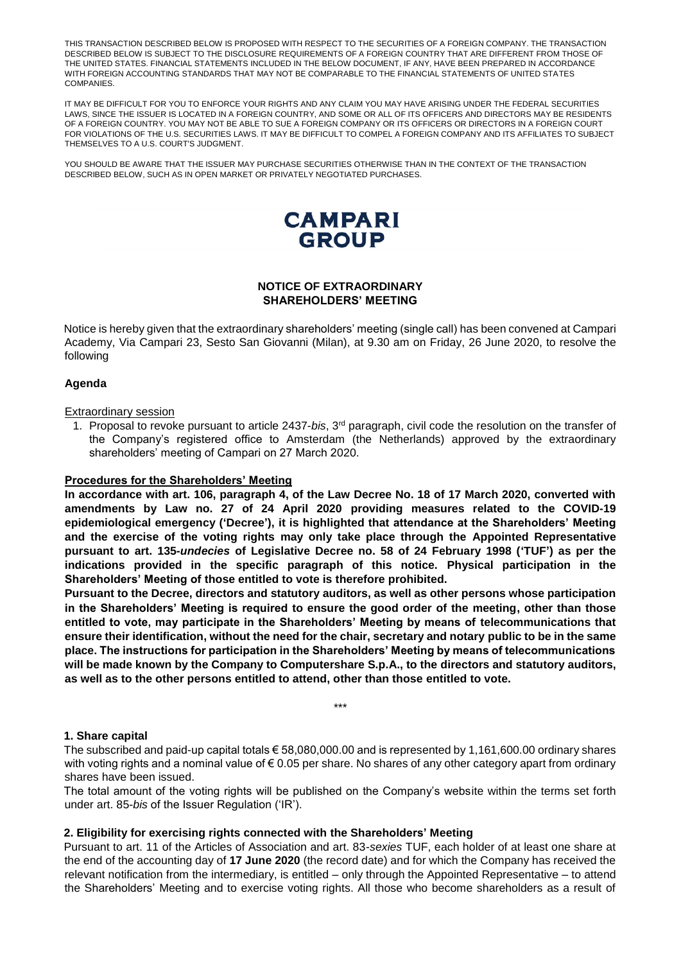THIS TRANSACTION DESCRIBED BELOW IS PROPOSED WITH RESPECT TO THE SECURITIES OF A FOREIGN COMPANY. THE TRANSACTION DESCRIBED BELOW IS SUBJECT TO THE DISCLOSURE REQUIREMENTS OF A FOREIGN COUNTRY THAT ARE DIFFERENT FROM THOSE OF THE UNITED STATES. FINANCIAL STATEMENTS INCLUDED IN THE BELOW DOCUMENT, IF ANY, HAVE BEEN PREPARED IN ACCORDANCE WITH FOREIGN ACCOUNTING STANDARDS THAT MAY NOT BE COMPARABLE TO THE FINANCIAL STATEMENTS OF UNITED STATES COMPANIES.

IT MAY BE DIFFICULT FOR YOU TO ENFORCE YOUR RIGHTS AND ANY CLAIM YOU MAY HAVE ARISING UNDER THE FEDERAL SECURITIES LAWS, SINCE THE ISSUER IS LOCATED IN A FOREIGN COUNTRY, AND SOME OR ALL OF ITS OFFICERS AND DIRECTORS MAY BE RESIDENTS OF A FOREIGN COUNTRY. YOU MAY NOT BE ABLE TO SUE A FOREIGN COMPANY OR ITS OFFICERS OR DIRECTORS IN A FOREIGN COURT FOR VIOLATIONS OF THE U.S. SECURITIES LAWS. IT MAY BE DIFFICULT TO COMPEL A FOREIGN COMPANY AND ITS AFFILIATES TO SUBJECT THEMSELVES TO A U.S. COURT'S JUDGMENT.

YOU SHOULD BE AWARE THAT THE ISSUER MAY PURCHASE SECURITIES OTHERWISE THAN IN THE CONTEXT OF THE TRANSACTION DESCRIBED BELOW, SUCH AS IN OPEN MARKET OR PRIVATELY NEGOTIATED PURCHASES.



## **NOTICE OF EXTRAORDINARY SHAREHOLDERS' MEETING**

Notice is hereby given that the extraordinary shareholders' meeting (single call) has been convened at Campari Academy, Via Campari 23, Sesto San Giovanni (Milan), at 9.30 am on Friday, 26 June 2020, to resolve the following

### **Agenda**

#### Extraordinary session

1. Proposal to revoke pursuant to article 2437-*bis*, 3rd paragraph, civil code the resolution on the transfer of the Company's registered office to Amsterdam (the Netherlands) approved by the extraordinary shareholders' meeting of Campari on 27 March 2020.

#### **Procedures for the Shareholders' Meeting**

**In accordance with art. 106, paragraph 4, of the Law Decree No. 18 of 17 March 2020, converted with amendments by Law no. 27 of 24 April 2020 providing measures related to the COVID-19 epidemiological emergency ('Decree'), it is highlighted that attendance at the Shareholders' Meeting and the exercise of the voting rights may only take place through the Appointed Representative pursuant to art. 135-***undecies* **of Legislative Decree no. 58 of 24 February 1998 ('TUF') as per the indications provided in the specific paragraph of this notice. Physical participation in the Shareholders' Meeting of those entitled to vote is therefore prohibited.** 

**Pursuant to the Decree, directors and statutory auditors, as well as other persons whose participation in the Shareholders' Meeting is required to ensure the good order of the meeting, other than those entitled to vote, may participate in the Shareholders' Meeting by means of telecommunications that ensure their identification, without the need for the chair, secretary and notary public to be in the same place. The instructions for participation in the Shareholders' Meeting by means of telecommunications will be made known by the Company to Computershare S.p.A., to the directors and statutory auditors, as well as to the other persons entitled to attend, other than those entitled to vote.**

\*\*\*

#### **1. Share capital**

The subscribed and paid-up capital totals € 58,080,000.00 and is represented by 1,161,600.00 ordinary shares with voting rights and a nominal value of € 0.05 per share. No shares of any other category apart from ordinary shares have been issued.

The total amount of the voting rights will be published on the Company's website within the terms set forth under art. 85-*bis* of the Issuer Regulation ('IR').

#### **2. Eligibility for exercising rights connected with the Shareholders' Meeting**

Pursuant to art. 11 of the Articles of Association and art. 83-*sexies* TUF, each holder of at least one share at the end of the accounting day of **17 June 2020** (the record date) and for which the Company has received the relevant notification from the intermediary, is entitled – only through the Appointed Representative – to attend the Shareholders' Meeting and to exercise voting rights. All those who become shareholders as a result of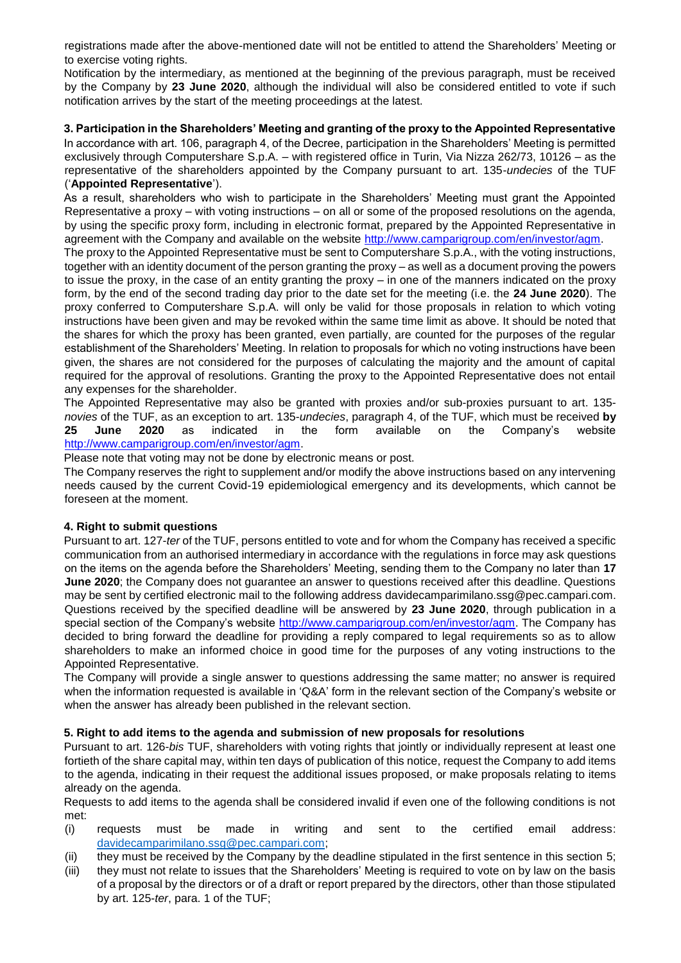registrations made after the above-mentioned date will not be entitled to attend the Shareholders' Meeting or to exercise voting rights.

Notification by the intermediary, as mentioned at the beginning of the previous paragraph, must be received by the Company by **23 June 2020**, although the individual will also be considered entitled to vote if such notification arrives by the start of the meeting proceedings at the latest.

**3. Participation in the Shareholders' Meeting and granting of the proxy to the Appointed Representative** In accordance with art. 106, paragraph 4, of the Decree, participation in the Shareholders' Meeting is permitted exclusively through Computershare S.p.A. – with registered office in Turin, Via Nizza 262/73, 10126 – as the representative of the shareholders appointed by the Company pursuant to art. 135-*undecies* of the TUF ('**Appointed Representative**').

As a result, shareholders who wish to participate in the Shareholders' Meeting must grant the Appointed Representative a proxy – with voting instructions – on all or some of the proposed resolutions on the agenda, by using the specific proxy form, including in electronic format, prepared by the Appointed Representative in agreement with the Company and available on the website [http://www.camparigroup.com/en/investor/agm.](http://www.camparigroup.com/en/investor/agm)

The proxy to the Appointed Representative must be sent to Computershare S.p.A., with the voting instructions, together with an identity document of the person granting the proxy – as well as a document proving the powers to issue the proxy, in the case of an entity granting the proxy – in one of the manners indicated on the proxy form, by the end of the second trading day prior to the date set for the meeting (i.e. the **24 June 2020**). The proxy conferred to Computershare S.p.A. will only be valid for those proposals in relation to which voting instructions have been given and may be revoked within the same time limit as above. It should be noted that the shares for which the proxy has been granted, even partially, are counted for the purposes of the regular establishment of the Shareholders' Meeting. In relation to proposals for which no voting instructions have been given, the shares are not considered for the purposes of calculating the majority and the amount of capital required for the approval of resolutions. Granting the proxy to the Appointed Representative does not entail any expenses for the shareholder.

The Appointed Representative may also be granted with proxies and/or sub-proxies pursuant to art. 135 *novies* of the TUF, as an exception to art. 135-*undecies*, paragraph 4, of the TUF, which must be received **by 25 June 2020** as indicated in the form available on the Company's website [http://www.camparigroup.com/en/investor/agm.](http://www.camparigroup.com/en/investor/agm)

Please note that voting may not be done by electronic means or post.

The Company reserves the right to supplement and/or modify the above instructions based on any intervening needs caused by the current Covid-19 epidemiological emergency and its developments, which cannot be foreseen at the moment.

# **4. Right to submit questions**

Pursuant to art. 127-*ter* of the TUF, persons entitled to vote and for whom the Company has received a specific communication from an authorised intermediary in accordance with the regulations in force may ask questions on the items on the agenda before the Shareholders' Meeting, sending them to the Company no later than **17 June 2020**; the Company does not guarantee an answer to questions received after this deadline. Questions may be sent by certified electronic mail to the following address davidecamparimilano.ssg@pec.campari.com. Questions received by the specified deadline will be answered by **23 June 2020**, through publication in a special section of the Company's website [http://www.camparigroup.com/en/investor/agm.](http://www.camparigroup.com/en/investor/agm) The Company has decided to bring forward the deadline for providing a reply compared to legal requirements so as to allow shareholders to make an informed choice in good time for the purposes of any voting instructions to the Appointed Representative.

The Company will provide a single answer to questions addressing the same matter; no answer is required when the information requested is available in 'Q&A' form in the relevant section of the Company's website or when the answer has already been published in the relevant section.

# **5. Right to add items to the agenda and submission of new proposals for resolutions**

Pursuant to art. 126-*bis* TUF, shareholders with voting rights that jointly or individually represent at least one fortieth of the share capital may, within ten days of publication of this notice, request the Company to add items to the agenda, indicating in their request the additional issues proposed, or make proposals relating to items already on the agenda.

Requests to add items to the agenda shall be considered invalid if even one of the following conditions is not met:

- (i) requests must be made in writing and sent to the certified email address: [davidecamparimilano.ssg@pec.campari.com;](mailto:davidecamparimilano.ssg@pec.campari.com)
- (ii) they must be received by the Company by the deadline stipulated in the first sentence in this section 5;
- (iii) they must not relate to issues that the Shareholders' Meeting is required to vote on by law on the basis of a proposal by the directors or of a draft or report prepared by the directors, other than those stipulated by art. 125-*ter*, para. 1 of the TUF;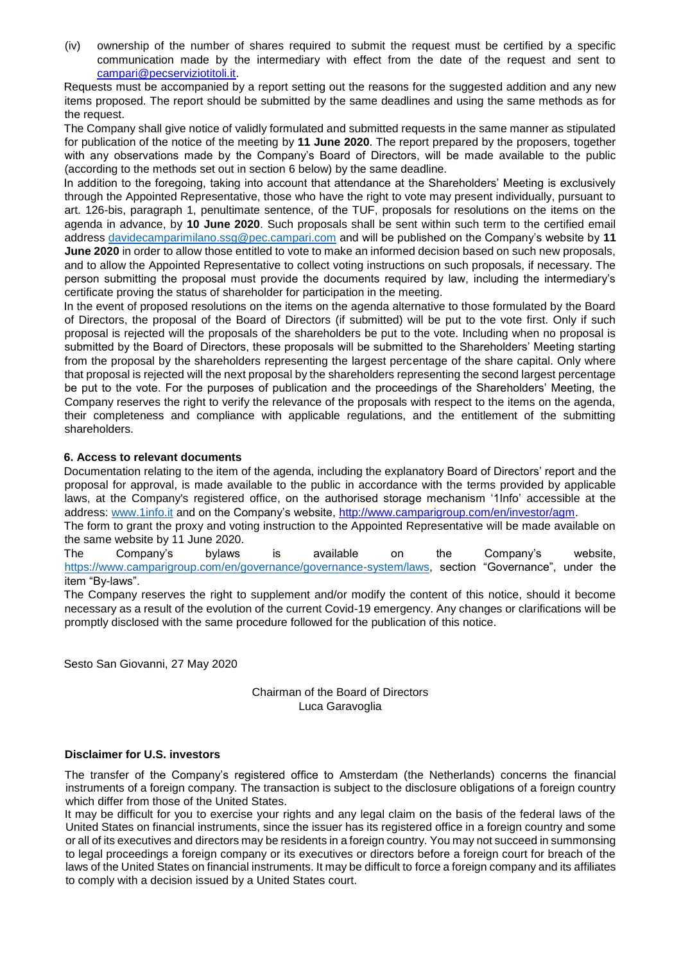(iv) ownership of the number of shares required to submit the request must be certified by a specific communication made by the intermediary with effect from the date of the request and sent to campari@pecserviziotitoli.it.

Requests must be accompanied by a report setting out the reasons for the suggested addition and any new items proposed. The report should be submitted by the same deadlines and using the same methods as for the request.

The Company shall give notice of validly formulated and submitted requests in the same manner as stipulated for publication of the notice of the meeting by **11 June 2020**. The report prepared by the proposers, together with any observations made by the Company's Board of Directors, will be made available to the public (according to the methods set out in section 6 below) by the same deadline.

In addition to the foregoing, taking into account that attendance at the Shareholders' Meeting is exclusively through the Appointed Representative, those who have the right to vote may present individually, pursuant to art. 126-bis, paragraph 1, penultimate sentence, of the TUF, proposals for resolutions on the items on the agenda in advance, by **10 June 2020**. Such proposals shall be sent within such term to the certified email address [davidecamparimilano.ssg@pec.campari.com](mailto:davidecamparimilano.ssg@pec.campari.com) and will be published on the Company's website by **11 June 2020** in order to allow those entitled to vote to make an informed decision based on such new proposals, and to allow the Appointed Representative to collect voting instructions on such proposals, if necessary. The person submitting the proposal must provide the documents required by law, including the intermediary's certificate proving the status of shareholder for participation in the meeting.

In the event of proposed resolutions on the items on the agenda alternative to those formulated by the Board of Directors, the proposal of the Board of Directors (if submitted) will be put to the vote first. Only if such proposal is rejected will the proposals of the shareholders be put to the vote. Including when no proposal is submitted by the Board of Directors, these proposals will be submitted to the Shareholders' Meeting starting from the proposal by the shareholders representing the largest percentage of the share capital. Only where that proposal is rejected will the next proposal by the shareholders representing the second largest percentage be put to the vote. For the purposes of publication and the proceedings of the Shareholders' Meeting, the Company reserves the right to verify the relevance of the proposals with respect to the items on the agenda, their completeness and compliance with applicable regulations, and the entitlement of the submitting shareholders.

# **6. Access to relevant documents**

Documentation relating to the item of the agenda, including the explanatory Board of Directors' report and the proposal for approval, is made available to the public in accordance with the terms provided by applicable laws, at the Company's registered office, on the authorised storage mechanism '1Info' accessible at the address: [www.1info.it](http://www.1info.it/) and on the Company's website, [http://www.camparigroup.com/en/investor/agm.](http://www.camparigroup.com/en/investor/agm)

The form to grant the proxy and voting instruction to the Appointed Representative will be made available on the same website by 11 June 2020.

The Company's bylaws is available on the Company's website, <https://www.camparigroup.com/en/governance/governance-system/laws>[,](http://www.camparigroup.com/en/investor/agm) section "Governance", under the item "By-laws".

The Company reserves the right to supplement and/or modify the content of this notice, should it become necessary as a result of the evolution of the current Covid-19 emergency. Any changes or clarifications will be promptly disclosed with the same procedure followed for the publication of this notice.

Sesto San Giovanni, 27 May 2020

Chairman of the Board of Directors Luca Garavoglia

# **Disclaimer for U.S. investors**

The transfer of the Company's registered office to Amsterdam (the Netherlands) concerns the financial instruments of a foreign company. The transaction is subject to the disclosure obligations of a foreign country which differ from those of the United States.

It may be difficult for you to exercise your rights and any legal claim on the basis of the federal laws of the United States on financial instruments, since the issuer has its registered office in a foreign country and some or all of its executives and directors may be residents in a foreign country. You may not succeed in summonsing to legal proceedings a foreign company or its executives or directors before a foreign court for breach of the laws of the United States on financial instruments. It may be difficult to force a foreign company and its affiliates to comply with a decision issued by a United States court.